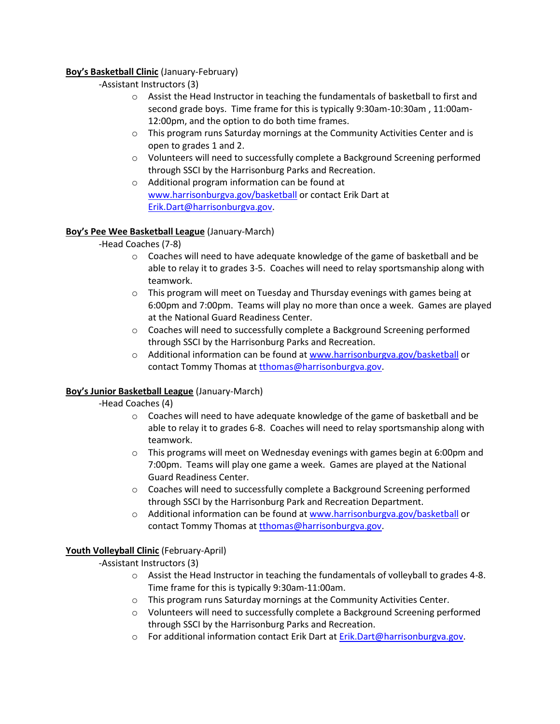## **Boy's Basketball Clinic** (January-February)

- -Assistant Instructors (3)
	- o Assist the Head Instructor in teaching the fundamentals of basketball to first and second grade boys. Time frame for this is typically 9:30am-10:30am , 11:00am-12:00pm, and the option to do both time frames.
	- o This program runs Saturday mornings at the Community Activities Center and is open to grades 1 and 2.
	- o Volunteers will need to successfully complete a Background Screening performed through SSCI by the Harrisonburg Parks and Recreation.
	- o Additional program information can be found at [www.harrisonburgva.gov/basketball](http://www.harrisonburgva.gov/basketball) or contact Erik Dart at [Erik.Dart@harrisonburgva.gov.](mailto:Erik.Dart@harrisonburgva.gov)

### **Boy's Pee Wee Basketball League** (January-March)

-Head Coaches (7-8)

- $\circ$  Coaches will need to have adequate knowledge of the game of basketball and be able to relay it to grades 3-5. Coaches will need to relay sportsmanship along with teamwork.
- $\circ$  This program will meet on Tuesday and Thursday evenings with games being at 6:00pm and 7:00pm. Teams will play no more than once a week. Games are played at the National Guard Readiness Center.
- o Coaches will need to successfully complete a Background Screening performed through SSCI by the Harrisonburg Parks and Recreation.
- o Additional information can be found a[t www.harrisonburgva.gov/basketball](http://www.harrisonburgva.gov/basketball) or contact Tommy Thomas at thomas@harrisonburgva.gov.

### **Boy's Junior Basketball League** (January-March)

-Head Coaches (4)

- o Coaches will need to have adequate knowledge of the game of basketball and be able to relay it to grades 6-8. Coaches will need to relay sportsmanship along with teamwork.
- $\circ$  This programs will meet on Wednesday evenings with games begin at 6:00pm and 7:00pm. Teams will play one game a week. Games are played at the National Guard Readiness Center.
- o Coaches will need to successfully complete a Background Screening performed through SSCI by the Harrisonburg Park and Recreation Department.
- o Additional information can be found a[t www.harrisonburgva.gov/basketball](http://www.harrisonburgva.gov/basketball) or contact Tommy Thomas at [tthomas@harrisonburgva.gov.](mailto:tthomas@harrisonburgva.gov)

# **Youth Volleyball Clinic** (February-April)

### -Assistant Instructors (3)

- o Assist the Head Instructor in teaching the fundamentals of volleyball to grades 4-8. Time frame for this is typically 9:30am-11:00am.
- o This program runs Saturday mornings at the Community Activities Center.
- o Volunteers will need to successfully complete a Background Screening performed through SSCI by the Harrisonburg Parks and Recreation.
- $\circ$  For additional information contact Erik Dart at [Erik.Dart@harrisonburgva.gov.](mailto:Erik.Dart@harrisonburgva.gov)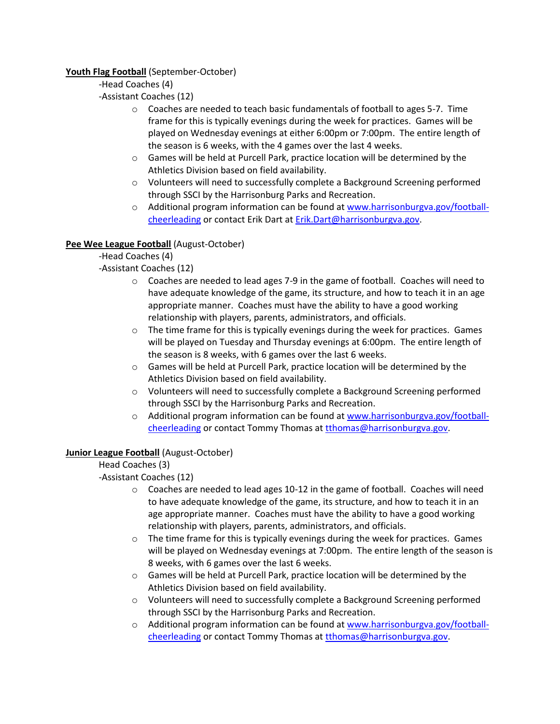## **Youth Flag Football** (September-October)

## -Head Coaches (4)

-Assistant Coaches (12)

- o Coaches are needed to teach basic fundamentals of football to ages 5-7. Time frame for this is typically evenings during the week for practices. Games will be played on Wednesday evenings at either 6:00pm or 7:00pm. The entire length of the season is 6 weeks, with the 4 games over the last 4 weeks.
- o Games will be held at Purcell Park, practice location will be determined by the Athletics Division based on field availability.
- o Volunteers will need to successfully complete a Background Screening performed through SSCI by the Harrisonburg Parks and Recreation.
- o Additional program information can be found a[t www.harrisonburgva.gov/football](http://www.harrisonburgva.gov/football-cheerleading)[cheerleading](http://www.harrisonburgva.gov/football-cheerleading) or contact Erik Dart at [Erik.Dart@harrisonburgva.gov.](mailto:Erik.Dart@harrisonburgva.gov)

# **Pee Wee League Football** (August-October)

-Head Coaches (4)

-Assistant Coaches (12)

- o Coaches are needed to lead ages 7-9 in the game of football. Coaches will need to have adequate knowledge of the game, its structure, and how to teach it in an age appropriate manner. Coaches must have the ability to have a good working relationship with players, parents, administrators, and officials.
- $\circ$  The time frame for this is typically evenings during the week for practices. Games will be played on Tuesday and Thursday evenings at 6:00pm. The entire length of the season is 8 weeks, with 6 games over the last 6 weeks.
- o Games will be held at Purcell Park, practice location will be determined by the Athletics Division based on field availability.
- o Volunteers will need to successfully complete a Background Screening performed through SSCI by the Harrisonburg Parks and Recreation.
- o Additional program information can be found a[t www.harrisonburgva.gov/football](http://www.harrisonburgva.gov/football-cheerleading)[cheerleading](http://www.harrisonburgva.gov/football-cheerleading) or contact Tommy Thomas at [tthomas@harrisonburgva.gov.](mailto:tthomas@harrisonburgva.gov)

# **Junior League Football** (August-October)

Head Coaches (3)

-Assistant Coaches (12)

- $\circ$  Coaches are needed to lead ages 10-12 in the game of football. Coaches will need to have adequate knowledge of the game, its structure, and how to teach it in an age appropriate manner. Coaches must have the ability to have a good working relationship with players, parents, administrators, and officials.
- $\circ$  The time frame for this is typically evenings during the week for practices. Games will be played on Wednesday evenings at 7:00pm. The entire length of the season is 8 weeks, with 6 games over the last 6 weeks.
- o Games will be held at Purcell Park, practice location will be determined by the Athletics Division based on field availability.
- o Volunteers will need to successfully complete a Background Screening performed through SSCI by the Harrisonburg Parks and Recreation.
- $\circ$  Additional program information can be found a[t www.harrisonburgva.gov/football](http://www.harrisonburgva.gov/football-cheerleading)[cheerleading](http://www.harrisonburgva.gov/football-cheerleading) or contact Tommy Thomas at [tthomas@harrisonburgva.gov.](mailto:tthomas@harrisonburgva.gov)